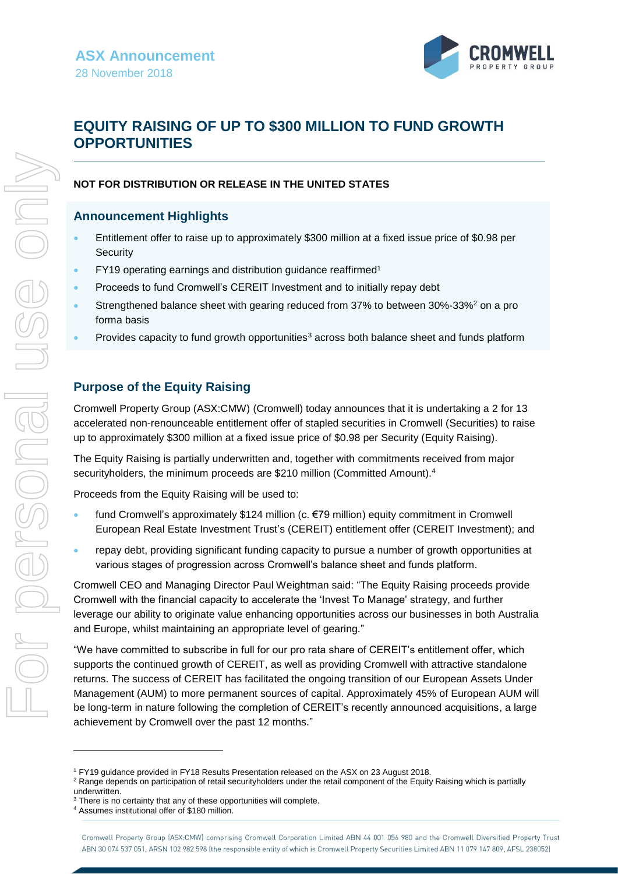

# **EQUITY RAISING OF UP TO \$300 MILLION TO FUND GROWTH OPPORTUNITIES**

#### **NOT FOR DISTRIBUTION OR RELEASE IN THE UNITED STATES**

### **Announcement Highlights**

- Entitlement offer to raise up to approximately \$300 million at a fixed issue price of \$0.98 per **Security**
- FY19 operating earnings and distribution guidance reaffirmed<sup>1</sup>
- Proceeds to fund Cromwell's CEREIT Investment and to initially repay debt
- Strengthened balance sheet with gearing reduced from 37% to between 30%-33%<sup>2</sup> on a pro forma basis
- Provides capacity to fund growth opportunities<sup>3</sup> across both balance sheet and funds platform

# **Purpose of the Equity Raising**

Cromwell Property Group (ASX:CMW) (Cromwell) today announces that it is undertaking a 2 for 13 accelerated non-renounceable entitlement offer of stapled securities in Cromwell (Securities) to raise up to approximately \$300 million at a fixed issue price of \$0.98 per Security (Equity Raising).

The Equity Raising is partially underwritten and, together with commitments received from major securityholders, the minimum proceeds are \$210 million (Committed Amount).<sup>4</sup>

Proceeds from the Equity Raising will be used to:

- fund Cromwell's approximately \$124 million (c. €79 million) equity commitment in Cromwell European Real Estate Investment Trust's (CEREIT) entitlement offer (CEREIT Investment); and
- repay debt, providing significant funding capacity to pursue a number of growth opportunities at various stages of progression across Cromwell's balance sheet and funds platform.

Cromwell CEO and Managing Director Paul Weightman said: "The Equity Raising proceeds provide Cromwell with the financial capacity to accelerate the 'Invest To Manage' strategy, and further leverage our ability to originate value enhancing opportunities across our businesses in both Australia and Europe, whilst maintaining an appropriate level of gearing."

"We have committed to subscribe in full for our pro rata share of CEREIT's entitlement offer, which supports the continued growth of CEREIT, as well as providing Cromwell with attractive standalone returns. The success of CEREIT has facilitated the ongoing transition of our European Assets Under Management (AUM) to more permanent sources of capital. Approximately 45% of European AUM will be long-term in nature following the completion of CEREIT's recently announced acquisitions, a large achievement by Cromwell over the past 12 months."

l

<sup>1</sup> FY19 guidance provided in FY18 Results Presentation released on the ASX on 23 August 2018.

<sup>&</sup>lt;sup>2</sup> Range depends on participation of retail securityholders under the retail component of the Equity Raising which is partially underwritten.

<sup>&</sup>lt;sup>3</sup> There is no certainty that any of these opportunities will complete.

<sup>4</sup> Assumes institutional offer of \$180 million.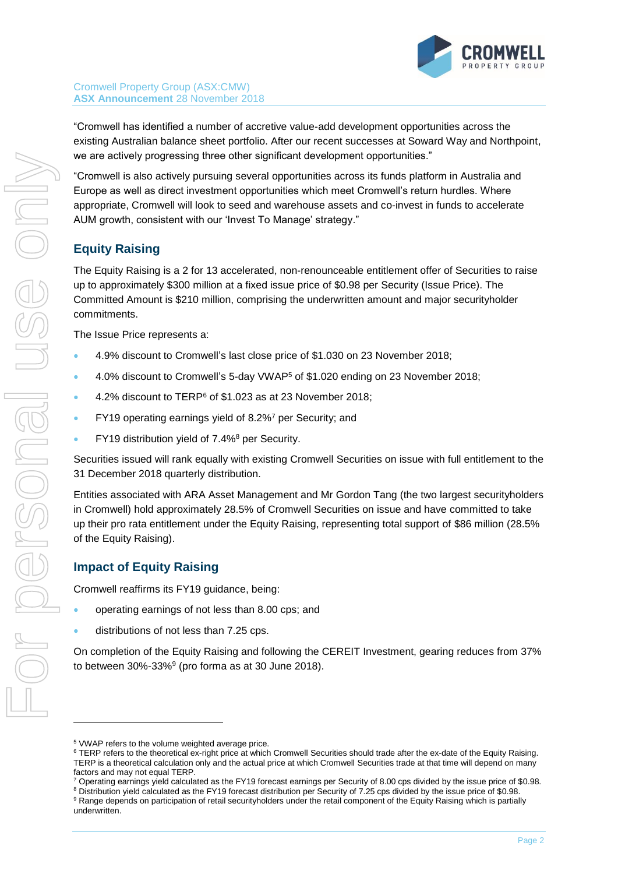

"Cromwell has identified a number of accretive value-add development opportunities across the existing Australian balance sheet portfolio. After our recent successes at Soward Way and Northpoint, we are actively progressing three other significant development opportunities."

"Cromwell is also actively pursuing several opportunities across its funds platform in Australia and Europe as well as direct investment opportunities which meet Cromwell's return hurdles. Where appropriate, Cromwell will look to seed and warehouse assets and co-invest in funds to accelerate AUM growth, consistent with our 'Invest To Manage' strategy."

# **Equity Raising**

The Equity Raising is a 2 for 13 accelerated, non-renounceable entitlement offer of Securities to raise up to approximately \$300 million at a fixed issue price of \$0.98 per Security (Issue Price). The Committed Amount is \$210 million, comprising the underwritten amount and major securityholder commitments.

The Issue Price represents a:

- 4.9% discount to Cromwell's last close price of \$1.030 on 23 November 2018;
- 4.0% discount to Cromwell's 5-day VWAP<sup>5</sup> of \$1.020 ending on 23 November 2018;
- 4.2% discount to TERP<sup>6</sup> of \$1.023 as at 23 November 2018;
- FY19 operating earnings yield of 8.2%<sup>7</sup> per Security; and
- FY19 distribution vield of 7.4%<sup>8</sup> per Security.

Securities issued will rank equally with existing Cromwell Securities on issue with full entitlement to the 31 December 2018 quarterly distribution.

Entities associated with ARA Asset Management and Mr Gordon Tang (the two largest securityholders in Cromwell) hold approximately 28.5% of Cromwell Securities on issue and have committed to take up their pro rata entitlement under the Equity Raising, representing total support of \$86 million (28.5% of the Equity Raising).

### **Impact of Equity Raising**

Cromwell reaffirms its FY19 guidance, being:

- operating earnings of not less than 8.00 cps; and
- distributions of not less than 7.25 cps.

On completion of the Equity Raising and following the CEREIT Investment, gearing reduces from 37% to between  $30\%$ -33% $9$  (pro forma as at 30 June 2018).

l

<sup>5</sup> VWAP refers to the volume weighted average price.

<sup>6</sup> TERP refers to the theoretical ex-right price at which Cromwell Securities should trade after the ex-date of the Equity Raising. TERP is a theoretical calculation only and the actual price at which Cromwell Securities trade at that time will depend on many factors and may not equal TERP.

 $7$  Operating earnings yield calculated as the FY19 forecast earnings per Security of 8.00 cps divided by the issue price of \$0.98.

<sup>8</sup> Distribution yield calculated as the FY19 forecast distribution per Security of 7.25 cps divided by the issue price of \$0.98. <sup>9</sup> Range depends on participation of retail securityholders under the retail component of the Equity Raising which is partially underwritten.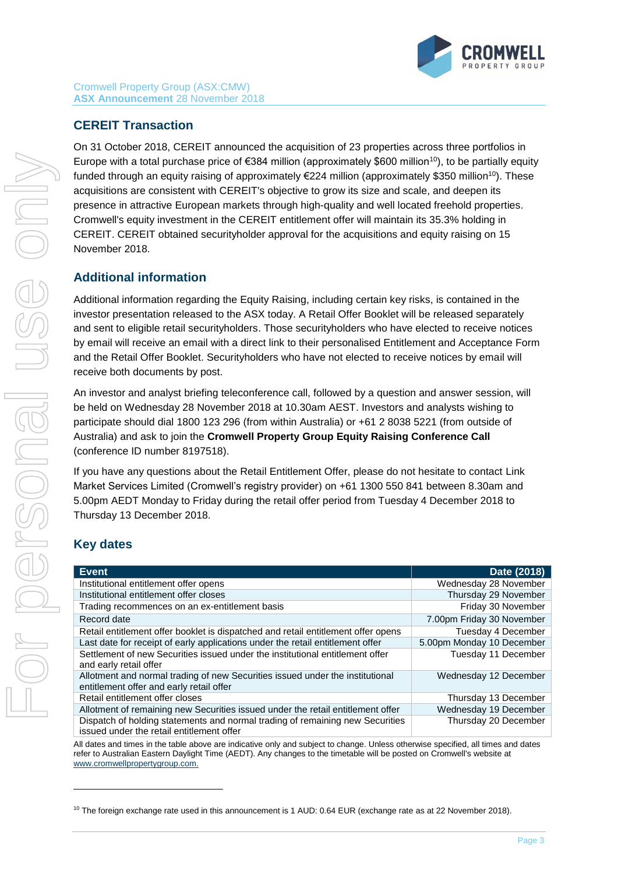

## **CEREIT Transaction**

On 31 October 2018, CEREIT announced the acquisition of 23 properties across three portfolios in Europe with a total purchase price of €384 million (approximately \$600 million<sup>10</sup>), to be partially equity funded through an equity raising of approximately €224 million (approximately \$350 million<sup>10</sup>). These acquisitions are consistent with CEREIT's objective to grow its size and scale, and deepen its presence in attractive European markets through high-quality and well located freehold properties. Cromwell's equity investment in the CEREIT entitlement offer will maintain its 35.3% holding in CEREIT. CEREIT obtained securityholder approval for the acquisitions and equity raising on 15 November 2018.

## **Additional information**

Additional information regarding the Equity Raising, including certain key risks, is contained in the investor presentation released to the ASX today. A Retail Offer Booklet will be released separately and sent to eligible retail securityholders. Those securityholders who have elected to receive notices by email will receive an email with a direct link to their personalised Entitlement and Acceptance Form and the Retail Offer Booklet. Securityholders who have not elected to receive notices by email will receive both documents by post.

An investor and analyst briefing teleconference call, followed by a question and answer session, will be held on Wednesday 28 November 2018 at 10.30am AEST. Investors and analysts wishing to participate should dial 1800 123 296 (from within Australia) or +61 2 8038 5221 (from outside of Australia) and ask to join the **Cromwell Property Group Equity Raising Conference Call** (conference ID number 8197518).

If you have any questions about the Retail Entitlement Offer, please do not hesitate to contact Link Market Services Limited (Cromwell's registry provider) on +61 1300 550 841 between 8.30am and 5.00pm AEDT Monday to Friday during the retail offer period from Tuesday 4 December 2018 to Thursday 13 December 2018.

### **Key dates**

l

| <b>Event</b>                                                                                                               | Date (2018)               |
|----------------------------------------------------------------------------------------------------------------------------|---------------------------|
| Institutional entitlement offer opens                                                                                      | Wednesday 28 November     |
| Institutional entitlement offer closes                                                                                     | Thursday 29 November      |
| Trading recommences on an ex-entitlement basis                                                                             | Friday 30 November        |
| Record date                                                                                                                | 7.00pm Friday 30 November |
| Retail entitlement offer booklet is dispatched and retail entitlement offer opens                                          | Tuesday 4 December        |
| Last date for receipt of early applications under the retail entitlement offer                                             | 5.00pm Monday 10 December |
| Settlement of new Securities issued under the institutional entitlement offer<br>and early retail offer                    | Tuesday 11 December       |
| Allotment and normal trading of new Securities issued under the institutional<br>entitlement offer and early retail offer  | Wednesday 12 December     |
| Retail entitlement offer closes                                                                                            | Thursday 13 December      |
| Allotment of remaining new Securities issued under the retail entitlement offer                                            | Wednesday 19 December     |
| Dispatch of holding statements and normal trading of remaining new Securities<br>issued under the retail entitlement offer | Thursday 20 December      |

All dates and times in the table above are indicative only and subject to change. Unless otherwise specified, all times and dates refer to Australian Eastern Daylight Time (AEDT). Any changes to the timetable will be posted on Cromwell's website at [www.cromwellpropertygroup.com.](http://www.cromwellpropertygroup.com/)

 $10$  The foreign exchange rate used in this announcement is 1 AUD: 0.64 EUR (exchange rate as at 22 November 2018).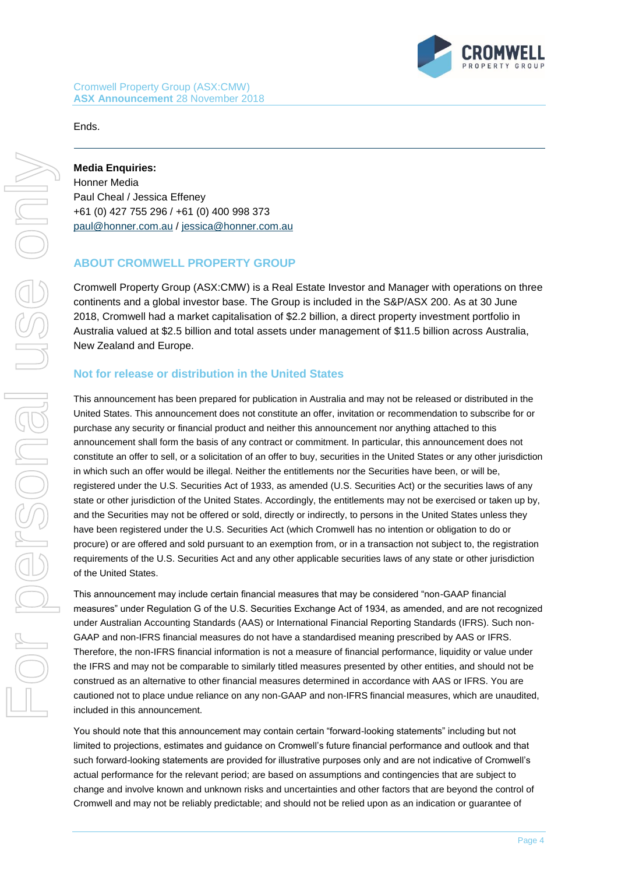

#### Ends.

**Media Enquiries:**  Honner Media Paul Cheal / Jessica Effeney +61 (0) 427 755 296 / +61 (0) 400 998 373 [paul@honner.com.au](mailto:paul@honner.com.au) / [jessica@honner.com.au](mailto:jessica@honner.com.au)

#### **ABOUT CROMWELL PROPERTY GROUP**

Cromwell Property Group (ASX:CMW) is a Real Estate Investor and Manager with operations on three continents and a global investor base. The Group is included in the S&P/ASX 200. As at 30 June 2018, Cromwell had a market capitalisation of \$2.2 billion, a direct property investment portfolio in Australia valued at \$2.5 billion and total assets under management of \$11.5 billion across Australia, New Zealand and Europe.

#### **Not for release or distribution in the United States**

This announcement has been prepared for publication in Australia and may not be released or distributed in the United States. This announcement does not constitute an offer, invitation or recommendation to subscribe for or purchase any security or financial product and neither this announcement nor anything attached to this announcement shall form the basis of any contract or commitment. In particular, this announcement does not constitute an offer to sell, or a solicitation of an offer to buy, securities in the United States or any other jurisdiction in which such an offer would be illegal. Neither the entitlements nor the Securities have been, or will be, registered under the U.S. Securities Act of 1933, as amended (U.S. Securities Act) or the securities laws of any state or other jurisdiction of the United States. Accordingly, the entitlements may not be exercised or taken up by, and the Securities may not be offered or sold, directly or indirectly, to persons in the United States unless they have been registered under the U.S. Securities Act (which Cromwell has no intention or obligation to do or procure) or are offered and sold pursuant to an exemption from, or in a transaction not subject to, the registration requirements of the U.S. Securities Act and any other applicable securities laws of any state or other jurisdiction of the United States.

This announcement may include certain financial measures that may be considered "non-GAAP financial measures" under Regulation G of the U.S. Securities Exchange Act of 1934, as amended, and are not recognized under Australian Accounting Standards (AAS) or International Financial Reporting Standards (IFRS). Such non-GAAP and non-IFRS financial measures do not have a standardised meaning prescribed by AAS or IFRS. Therefore, the non-IFRS financial information is not a measure of financial performance, liquidity or value under the IFRS and may not be comparable to similarly titled measures presented by other entities, and should not be construed as an alternative to other financial measures determined in accordance with AAS or IFRS. You are cautioned not to place undue reliance on any non-GAAP and non-IFRS financial measures, which are unaudited, included in this announcement.

You should note that this announcement may contain certain "forward-looking statements" including but not limited to projections, estimates and guidance on Cromwell's future financial performance and outlook and that such forward-looking statements are provided for illustrative purposes only and are not indicative of Cromwell's actual performance for the relevant period; are based on assumptions and contingencies that are subject to change and involve known and unknown risks and uncertainties and other factors that are beyond the control of Cromwell and may not be reliably predictable; and should not be relied upon as an indication or guarantee of